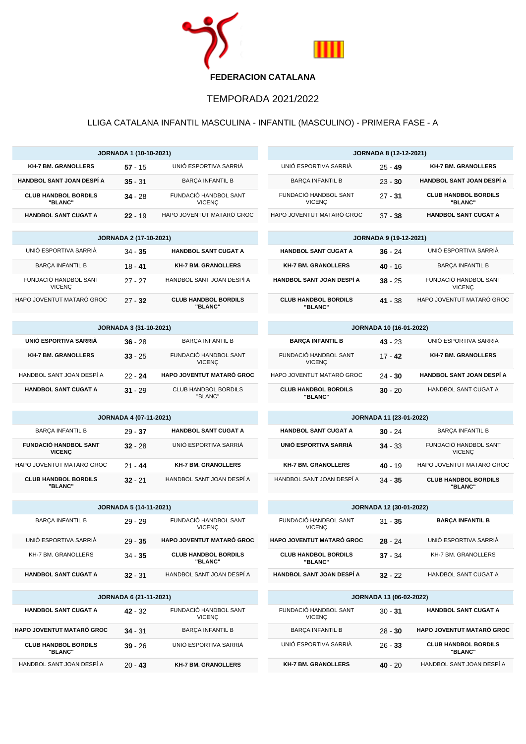

## TEMPORADA 2021/2022

## LLIGA CATALANA INFANTIL MASCULINA - INFANTIL (MASCULINO) - PRIMERA FASE - A

| <b>JORNADA 1 (10-10-2021)</b>                                                           |                               |                                        | <b>JORNADA 8 (12-12-2021)</b>                                       |           |                                        |  |
|-----------------------------------------------------------------------------------------|-------------------------------|----------------------------------------|---------------------------------------------------------------------|-----------|----------------------------------------|--|
| <b>KH-7 BM, GRANOLLERS</b>                                                              | $57 - 15$                     | UNIÓ ESPORTIVA SARRIÀ                  | UNIÓ ESPORTIVA SARRIÀ                                               | $25 - 49$ | <b>KH-7 BM. GRANOLLERS</b>             |  |
| HANDBOL SANT JOAN DESPÍ A                                                               | $35 - 31$                     | <b>BARÇA INFANTIL B</b>                | <b>BARÇA INFANTIL B</b>                                             | $23 - 30$ | <b>HANDBOL SANT JOAN DESPÍ A</b>       |  |
| <b>CLUB HANDBOL BORDILS</b><br>"BLANC"                                                  | $34 - 28$                     | FUNDACIÓ HANDBOL SANT<br><b>VICENÇ</b> | FUNDACIÓ HANDBOL SANT<br><b>VICENÇ</b>                              | $27 - 31$ | <b>CLUB HANDBOL BORDILS</b><br>"BLANC" |  |
| <b>HANDBOL SANT CUGAT A</b>                                                             | $22 - 19$                     | HAPO JOVENTUT MATARÓ GROC              | HAPO JOVENTUT MATARÓ GROC                                           | $37 - 38$ | <b>HANDBOL SANT CUGAT A</b>            |  |
|                                                                                         | <b>JORNADA 2 (17-10-2021)</b> | <b>JORNADA 9 (19-12-2021)</b>          |                                                                     |           |                                        |  |
| UNIÓ ESPORTIVA SARRIÀ                                                                   | $34 - 35$                     | <b>HANDBOL SANT CUGAT A</b>            | <b>HANDBOL SANT CUGAT A</b>                                         | $36 - 24$ | UNIÓ ESPORTIVA SARRIÀ                  |  |
| <b>BARÇA INFANTIL B</b>                                                                 | $18 - 41$                     | <b>KH-7 BM. GRANOLLERS</b>             | <b>KH-7 BM. GRANOLLERS</b>                                          | $40 - 16$ | <b>BARCA INFANTIL B</b>                |  |
| FUNDACIÓ HANDBOL SANT<br><b>VICENC</b>                                                  | $27 - 27$                     | HANDBOL SANT JOAN DESPÍ A              | HANDBOL SANT JOAN DESPÍ A                                           | $38 - 25$ | FUNDACIÓ HANDBOL SANT<br><b>VICENÇ</b> |  |
| HAPO JOVENTUT MATARÓ GROC                                                               | $27 - 32$                     | <b>CLUB HANDBOL BORDILS</b><br>"BLANC" | <b>CLUB HANDBOL BORDILS</b><br>"BLANC"                              | $41 - 38$ | HAPO JOVENTUT MATARÓ GROC              |  |
|                                                                                         | <b>JORNADA 3 (31-10-2021)</b> | JORNADA 10 (16-01-2022)                |                                                                     |           |                                        |  |
| UNIÓ ESPORTIVA SARRIÀ                                                                   | $36 - 28$                     | <b>BARÇA INFANTIL B</b>                | <b>BARÇA INFANTIL B</b>                                             | $43 - 23$ | UNIÓ ESPORTIVA SARRIÀ                  |  |
| <b>KH-7 BM. GRANOLLERS</b>                                                              | $33 - 25$                     | FUNDACIÓ HANDBOL SANT<br><b>VICENÇ</b> | FUNDACIÓ HANDBOL SANT<br><b>VICENÇ</b>                              | $17 - 42$ | <b>KH-7 BM. GRANOLLERS</b>             |  |
| HANDBOL SANT JOAN DESPÍ A                                                               | $22 - 24$                     | HAPO JOVENTUT MATARÓ GROC              | HAPO JOVENTUT MATARÓ GROC                                           | $24 - 30$ | <b>HANDBOL SANT JOAN DESPÍ A</b>       |  |
| <b>HANDBOL SANT CUGAT A</b>                                                             | $31 - 29$                     | <b>CLUB HANDBOL BORDILS</b><br>"BLANC" | <b>CLUB HANDBOL BORDILS</b><br>"BLANC"                              | $30 - 20$ | HANDBOL SANT CUGAT A                   |  |
|                                                                                         |                               |                                        | JORNADA 11 (23-01-2022)                                             |           |                                        |  |
| <b>JORNADA 4 (07-11-2021)</b><br><b>BARÇA INFANTIL B</b><br><b>HANDBOL SANT CUGAT A</b> |                               |                                        | <b>HANDBOL SANT CUGAT A</b><br><b>BARÇA INFANTIL B</b><br>$30 - 24$ |           |                                        |  |
| <b>FUNDACIÓ HANDBOL SANT</b>                                                            | $29 - 37$<br>$32 - 28$        | UNIÓ ESPORTIVA SARRIÀ                  | UNIÓ ESPORTIVA SARRIÀ                                               | $34 - 33$ | FUNDACIÓ HANDBOL SANT                  |  |
| <b>VICENÇ</b>                                                                           |                               |                                        |                                                                     |           | <b>VICENÇ</b>                          |  |
| HAPO JOVENTUT MATARÓ GROC                                                               | $21 - 44$                     | <b>KH-7 BM. GRANOLLERS</b>             | <b>KH-7 BM. GRANOLLERS</b>                                          | $40 - 19$ | HAPO JOVENTUT MATARÓ GROC              |  |
| <b>CLUB HANDBOL BORDILS</b><br>"BLANC"                                                  | $32 - 21$                     | HANDBOL SANT JOAN DESPÍ A              | HANDBOL SANT JOAN DESPÍ A                                           | $34 - 35$ | <b>CLUB HANDBOL BORDILS</b><br>"BLANC" |  |
| <b>JORNADA 5 (14-11-2021)</b>                                                           |                               |                                        | JORNADA 12 (30-01-2022)                                             |           |                                        |  |
| <b>BARÇA INFANTIL B</b>                                                                 | $29 - 29$                     | FUNDACIÓ HANDBOL SANT<br><b>VICENÇ</b> | FUNDACIÓ HANDBOL SANT<br><b>VICENC</b>                              | $31 - 35$ | <b>BARÇA INFANTIL B</b>                |  |
| UNIÓ ESPORTIVA SARRIÀ                                                                   | $29 - 35$                     | <b>HAPO JOVENTUT MATARÓ GROC</b>       | HAPO JOVENTUT MATARÓ GROC                                           | $28 - 24$ | UNIÓ ESPORTIVA SARRIÀ                  |  |
| KH-7 BM. GRANOLLERS                                                                     | $34 - 35$                     | <b>CLUB HANDBOL BORDILS</b><br>"BLANC" | <b>CLUB HANDBOL BORDILS</b><br>"BLANC"                              | $37 - 34$ | KH-7 BM. GRANOLLERS                    |  |
| <b>HANDBOL SANT CUGAT A</b>                                                             | $32 - 31$                     | HANDBOL SANT JOAN DESPI A              | HANDBOL SANT JOAN DESPÍ A                                           | $32 - 22$ | HANDBOL SANT CUGAT A                   |  |
| JORNADA 6 (21-11-2021)                                                                  |                               |                                        | <b>JORNADA 13 (06-02-2022)</b>                                      |           |                                        |  |
| <b>HANDBOL SANT CUGAT A</b>                                                             | $42 - 32$                     | FUNDACIÓ HANDBOL SANT<br><b>VICENÇ</b> | FUNDACIÓ HANDBOL SANT<br><b>VICENÇ</b>                              | $30 - 31$ | <b>HANDBOL SANT CUGAT A</b>            |  |
| HAPO JOVENTUT MATARÓ GROC                                                               | $34 - 31$                     | <b>BARÇA INFANTIL B</b>                | <b>BARÇA INFANTIL B</b>                                             | $28 - 30$ | HAPO JOVENTUT MATARÓ GROC              |  |
| <b>CLUB HANDBOL BORDILS</b><br>"BLANC"                                                  | $39 - 26$                     | UNIÓ ESPORTIVA SARRIÀ                  | UNIÓ ESPORTIVA SARRIÀ                                               | $26 - 33$ | <b>CLUB HANDBOL BORDILS</b><br>"BLANC" |  |
| HANDBOL SANT JOAN DESPI A                                                               | $20 - 43$                     | <b>KH-7 BM. GRANOLLERS</b>             | <b>KH-7 BM. GRANOLLERS</b>                                          | $40 - 20$ | HANDBOL SANT JOAN DESPI A              |  |
|                                                                                         |                               |                                        |                                                                     |           |                                        |  |